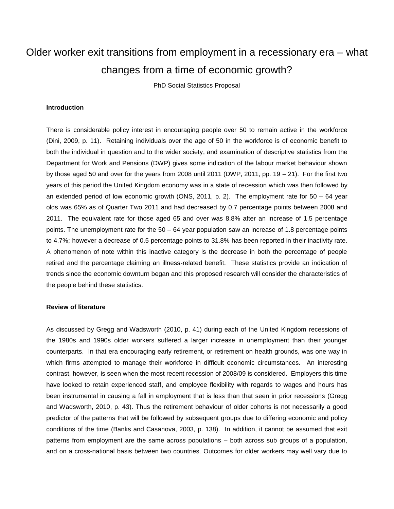# Older worker exit transitions from employment in a recessionary era – what changes from a time of economic growth?

PhD Social Statistics Proposal

#### **Introduction**

There is considerable policy interest in encouraging people over 50 to remain active in the workforce (Dini, 2009, p. 11). Retaining individuals over the age of 50 in the workforce is of economic benefit to both the individual in question and to the wider society, and examination of descriptive statistics from the Department for Work and Pensions (DWP) gives some indication of the labour market behaviour shown by those aged 50 and over for the years from 2008 until 2011 (DWP, 2011, pp.  $19 - 21$ ). For the first two years of this period the United Kingdom economy was in a state of recession which was then followed by an extended period of low economic growth (ONS, 2011, p. 2). The employment rate for 50 – 64 year olds was 65% as of Quarter Two 2011 and had decreased by 0.7 percentage points between 2008 and 2011. The equivalent rate for those aged 65 and over was 8.8% after an increase of 1.5 percentage points. The unemployment rate for the 50 – 64 year population saw an increase of 1.8 percentage points to 4.7%; however a decrease of 0.5 percentage points to 31.8% has been reported in their inactivity rate. A phenomenon of note within this inactive category is the decrease in both the percentage of people retired and the percentage claiming an illness-related benefit. These statistics provide an indication of trends since the economic downturn began and this proposed research will consider the characteristics of the people behind these statistics.

#### **Review of literature**

As discussed by Gregg and Wadsworth (2010, p. 41) during each of the United Kingdom recessions of the 1980s and 1990s older workers suffered a larger increase in unemployment than their younger counterparts. In that era encouraging early retirement, or retirement on health grounds, was one way in which firms attempted to manage their workforce in difficult economic circumstances. An interesting contrast, however, is seen when the most recent recession of 2008/09 is considered. Employers this time have looked to retain experienced staff, and employee flexibility with regards to wages and hours has been instrumental in causing a fall in employment that is less than that seen in prior recessions (Gregg and Wadsworth, 2010, p. 43). Thus the retirement behaviour of older cohorts is not necessarily a good predictor of the patterns that will be followed by subsequent groups due to differing economic and policy conditions of the time (Banks and Casanova, 2003, p. 138). In addition, it cannot be assumed that exit patterns from employment are the same across populations – both across sub groups of a population, and on a cross-national basis between two countries. Outcomes for older workers may well vary due to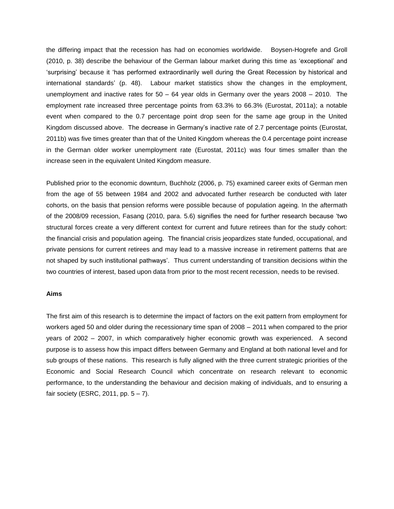the differing impact that the recession has had on economies worldwide. Boysen-Hogrefe and Groll (2010, p. 38) describe the behaviour of the German labour market during this time as 'exceptional' and 'surprising' because it 'has performed extraordinarily well during the Great Recession by historical and international standards' (p. 48). Labour market statistics show the changes in the employment, unemployment and inactive rates for  $50 - 64$  year olds in Germany over the years  $2008 - 2010$ . The employment rate increased three percentage points from 63.3% to 66.3% (Eurostat, 2011a); a notable event when compared to the 0.7 percentage point drop seen for the same age group in the United Kingdom discussed above. The decrease in Germany's inactive rate of 2.7 percentage points (Eurostat, 2011b) was five times greater than that of the United Kingdom whereas the 0.4 percentage point increase in the German older worker unemployment rate (Eurostat, 2011c) was four times smaller than the increase seen in the equivalent United Kingdom measure.

Published prior to the economic downturn, Buchholz (2006, p. 75) examined career exits of German men from the age of 55 between 1984 and 2002 and advocated further research be conducted with later cohorts, on the basis that pension reforms were possible because of population ageing. In the aftermath of the 2008/09 recession, Fasang (2010, para. 5.6) signifies the need for further research because 'two structural forces create a very different context for current and future retirees than for the study cohort: the financial crisis and population ageing. The financial crisis jeopardizes state funded, occupational, and private pensions for current retirees and may lead to a massive increase in retirement patterns that are not shaped by such institutional pathways'. Thus current understanding of transition decisions within the two countries of interest, based upon data from prior to the most recent recession, needs to be revised.

### **Aims**

The first aim of this research is to determine the impact of factors on the exit pattern from employment for workers aged 50 and older during the recessionary time span of 2008 – 2011 when compared to the prior years of 2002 – 2007, in which comparatively higher economic growth was experienced. A second purpose is to assess how this impact differs between Germany and England at both national level and for sub groups of these nations. This research is fully aligned with the three current strategic priorities of the Economic and Social Research Council which concentrate on research relevant to economic performance, to the understanding the behaviour and decision making of individuals, and to ensuring a fair society (ESRC, 2011, pp.  $5 - 7$ ).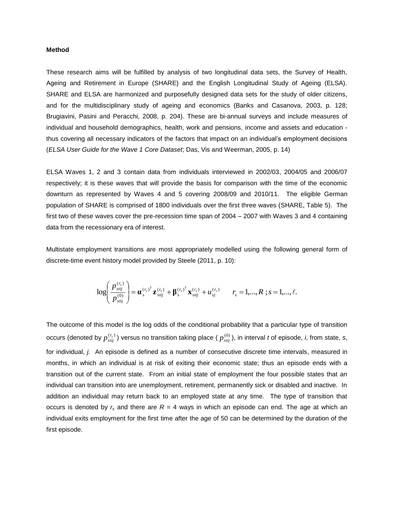## **Method**

These research aims will be fulfilled by analysis of two longitudinal data sets, the Survey of Health, Ageing and Retirement in Europe (SHARE) and the English Longitudinal Study of Ageing (ELSA). SHARE and ELSA are harmonized and purposefully designed data sets for the study of older citizens, and for the multidisciplinary study of ageing and economics (Banks and Casanova, 2003, p. 128; Brugiavini, Pasini and Peracchi, 2008, p. 204). These are bi-annual surveys and include measures of individual and household demographics, health, work and pensions, income and assets and education thus covering all necessary indicators of the factors that impact on an individual's employment decisions (*ELSA User Guide for the Wave 1 Core Dataset*; Das, Vis and Weerman, 2005, p. 14)

ELSA Waves 1, 2 and 3 contain data from individuals interviewed in 2002/03, 2004/05 and 2006/07 respectively; it is these waves that will provide the basis for comparison with the time of the economic downturn as represented by Waves 4 and 5 covering 2008/09 and 2010/11. The eligible German population of SHARE is comprised of 1800 individuals over the first three waves (SHARE, Table 5). The first two of these waves cover the pre-recession time span of 2004 – 2007 with Waves 3 and 4 containing data from the recessionary era of interest.

Multistate employment transitions are most appropriately modelled using the following general form of discrete-time event history model provided by Steele (2011, p. 10):

$$
\log\left(\frac{p_{\text{stij}}^{(r_s)}}{p_{\text{stij}}^{(0)}}\right) = {\alpha_s^{(r_s)}}^{\text{T}} {\bf z}_{\text{stij}}^{(r_s)} + {\beta_s^{(r_s)}}^{\text{T}} {\bf x}_{\text{stij}}^{(r_s)} + u_{\text{sj}}^{(r_s)} \qquad r_s = 1,...,R \text{ ; } s = 1,...,\ell.
$$

The outcome of this model is the log odds of the conditional probability that a particular type of transition occurs (denoted by  $p_{stij}^{(r_s)}$ ) versus no transition taking place (  $p_{stij}^{(0)}$  ), in interval *t* of episode, *i*, from state, *s*, for individual, *j.* An episode is defined as a number of consecutive discrete time intervals, measured in months, in which an individual is at risk of exiting their economic state; thus an episode ends with a transition out of the current state. From an initial state of employment the four possible states that an individual can transition into are unemployment, retirement, permanently sick or disabled and inactive. In addition an individual may return back to an employed state at any time. The type of transition that occurs is denoted by  $r_s$  and there are  $R = 4$  ways in which an episode can end. The age at which an individual exits employment for the first time after the age of 50 can be determined by the duration of the first episode.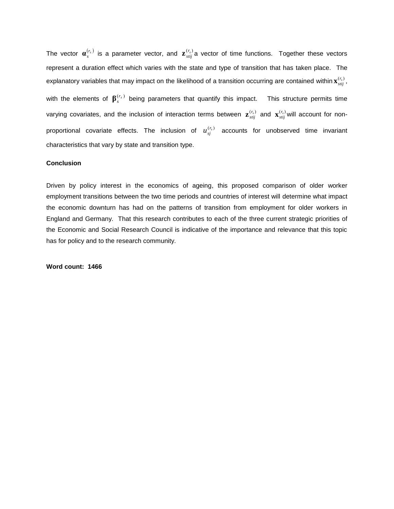The vector  $\bm{a}_s^{(r_s)}$  is a parameter vector, and  $\bm{z}_{stij}^{(r_s)}$ a vector of time functions. Together these vectors represent a duration effect which varies with the state and type of transition that has taken place. The explanatory variables that may impact on the likelihood of a transition occurring are contained within  $\mathbf{x}_{stij}^{(r_s)}$ , with the elements of  $\beta_s^{(r_s)}$  being parameters that quantify this impact. This structure permits time varying covariates, and the inclusion of interaction terms between  $\mathbf{z}_{stij}^{(r_s)}$  and  $\mathbf{x}_{stij}^{(r_s)}$ will account for nonproportional covariate effects. The inclusion of  $u_{sj}^{(r_s)}$  accounts for unobserved time invariant characteristics that vary by state and transition type.

#### **Conclusion**

Driven by policy interest in the economics of ageing, this proposed comparison of older worker employment transitions between the two time periods and countries of interest will determine what impact the economic downturn has had on the patterns of transition from employment for older workers in England and Germany. That this research contributes to each of the three current strategic priorities of the Economic and Social Research Council is indicative of the importance and relevance that this topic has for policy and to the research community.

**Word count: 1466**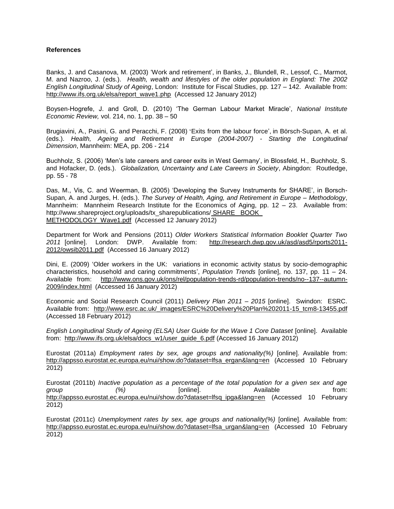## **References**

Banks, J. and Casanova, M. (2003) 'Work and retirement', in Banks, J., Blundell, R., Lessof, C., Marmot, M. and Nazroo, J. (eds.). *Health, wealth and lifestyles of the older population in England: The 2002 English Longitudinal Study of Ageing*, London: Institute for Fiscal Studies, pp. 127 – 142. Available from: [http://www.ifs.org.uk/elsa/report\\_wave1.php](http://www.ifs.org.uk/elsa/report_wave1.php) (Accessed 12 January 2012)

Boysen-Hogrefe, J. and Groll, D. (2010) 'The German Labour Market Miracle', *National Institute Economic Review,* vol. 214, no. 1, pp. 38 – 50

Brugiavini, A., Pasini, G. and Peracchi, F. (2008) '[Exits from the labour force',](http://share-dev.mpisoc.mpg.de/uploads/tx_sharepublications/6.1.pdf) in Börsch-Supan, A. et al. (eds.). *Health, Ageing and Retirement in Europe (2004-2007) - Starting the Longitudinal Dimension*, Mannheim: MEA, pp. 206 - 214

Buchholz, S. (2006) 'Men's late careers and career exits in West Germany', in Blossfeld, H., Buchholz, S. and Hofacker, D. (eds.). *Globalization, Uncertainty and Late Careers in Society*, Abingdon: Routledge, pp. 55 - 78

Das, M., Vis, C. and Weerman, B. (2005) 'Developing the Survey Instruments for SHARE', in Borsch-Supan, A. and Jurges, H. (eds.). *The Survey of Health, Aging, and Retirement in Europe – Methodology*, Mannheim: Mannheim Research Institute for the Economics of Aging, pp. 12 - 23. Available from: http://www.shareproject.org/uploads/tx\_sharepublications/ SHARE\_ BOOK METHODOLOGY Wave1.pdf (Accessed 12 January 2012)

Department for Work and Pensions (2011) *Older Workers Statistical Information Booklet Quarter Two*  2011 [online]. London: DWP. Available from: [http://research.dwp.gov.uk/asd/asd5/rports2011-](http://research.dwp.gov.uk/asd/asd5/rports2011-2012/owsib2011.pdf) [2012/owsib2011.pdf](http://research.dwp.gov.uk/asd/asd5/rports2011-2012/owsib2011.pdf) (Accessed 16 January 2012)

Dini, E. (2009) 'Older workers in the UK: variations in economic activity status by socio-demographic characteristics, household and caring commitments', *Population Trends* [online], no. 137, pp. 11 – 24. Available from: [http://www.ons.gov.uk/ons/rel/population-trends-rd/population-trends/no--137--autumn-](http://www.ons.gov.uk/ons/rel/population-trends-rd/population-trends/no--137--autumn-2009/index.html)[2009/index.html](http://www.ons.gov.uk/ons/rel/population-trends-rd/population-trends/no--137--autumn-2009/index.html) (Accessed 16 January 2012)

Economic and Social Research Council (2011) *Delivery Plan 2011 – 2015* [online]. Swindon: ESRC. Available from: [http://www.esrc.ac.uk/\\_images/ESRC%20Delivery%20Plan%202011-15\\_tcm8-13455.pdf](http://www.esrc.ac.uk/_images/ESRC%20Delivery%20Plan%202011-15_tcm8-13455.pdf)  (Accessed 18 February 2012)

*English Longitudinal Study of Ageing (ELSA) User Guide for the Wave 1 Core Dataset* [online]. Available from: [http://www.ifs.org.uk/elsa/docs\\_w1/user\\_guide\\_6.pdf](http://www.ifs.org.uk/elsa/docs_w1/user_guide_6.pdf) (Accessed 16 January 2012)

Eurostat (2011a) *Employment rates by sex, age groups and nationality(%)* [online]. Available from: [http://appsso.eurostat.ec.europa.eu/nui/show.do?dataset=lfsa\\_ergan&lang=en](http://appsso.eurostat.ec.europa.eu/nui/show.do?dataset=lfsa_ergan〈=en) (Accessed 10 February 2012)

Eurostat (2011b) *Inactive population as a percentage of the total population for a given sex and age group (%)* [online]. Available from: http://appsso.eurostat.ec.europa.eu/nui/show.do?dataset=lfsq\_ipga&lang=en (Accessed 10 February 2012)

Eurostat (2011c) *Unemployment rates by sex, age groups and nationality(%)* [online]. Available from: [http://appsso.eurostat.ec.europa.eu/nui/show.do?dataset=lfsa\\_urgan&lang=en](http://appsso.eurostat.ec.europa.eu/nui/show.do?dataset=lfsa_urgan〈=en) (Accessed 10 February 2012)